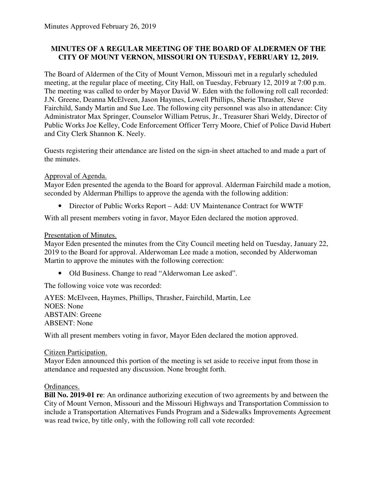## **MINUTES OF A REGULAR MEETING OF THE BOARD OF ALDERMEN OF THE CITY OF MOUNT VERNON, MISSOURI ON TUESDAY, FEBRUARY 12, 2019.**

The Board of Aldermen of the City of Mount Vernon, Missouri met in a regularly scheduled meeting, at the regular place of meeting, City Hall, on Tuesday, February 12, 2019 at 7:00 p.m. The meeting was called to order by Mayor David W. Eden with the following roll call recorded: J.N. Greene, Deanna McElveen, Jason Haymes, Lowell Phillips, Sherie Thrasher, Steve Fairchild, Sandy Martin and Sue Lee. The following city personnel was also in attendance: City Administrator Max Springer, Counselor William Petrus, Jr., Treasurer Shari Weldy, Director of Public Works Joe Kelley, Code Enforcement Officer Terry Moore, Chief of Police David Hubert and City Clerk Shannon K. Neely.

Guests registering their attendance are listed on the sign-in sheet attached to and made a part of the minutes.

## Approval of Agenda.

Mayor Eden presented the agenda to the Board for approval. Alderman Fairchild made a motion, seconded by Alderman Phillips to approve the agenda with the following addition:

• Director of Public Works Report – Add: UV Maintenance Contract for WWTF

With all present members voting in favor, Mayor Eden declared the motion approved.

## Presentation of Minutes.

Mayor Eden presented the minutes from the City Council meeting held on Tuesday, January 22, 2019 to the Board for approval. Alderwoman Lee made a motion, seconded by Alderwoman Martin to approve the minutes with the following correction:

• Old Business. Change to read "Alderwoman Lee asked".

The following voice vote was recorded:

AYES: McElveen, Haymes, Phillips, Thrasher, Fairchild, Martin, Lee NOES: None ABSTAIN: Greene ABSENT: None

With all present members voting in favor, Mayor Eden declared the motion approved.

## Citizen Participation.

Mayor Eden announced this portion of the meeting is set aside to receive input from those in attendance and requested any discussion. None brought forth.

## Ordinances.

**Bill No. 2019-01 re**: An ordinance authorizing execution of two agreements by and between the City of Mount Vernon, Missouri and the Missouri Highways and Transportation Commission to include a Transportation Alternatives Funds Program and a Sidewalks Improvements Agreement was read twice, by title only, with the following roll call vote recorded: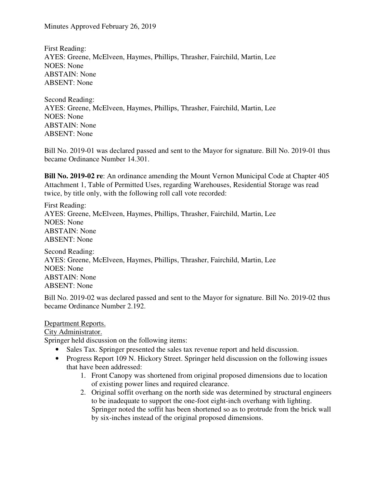Minutes Approved February 26, 2019

First Reading: AYES: Greene, McElveen, Haymes, Phillips, Thrasher, Fairchild, Martin, Lee NOES: None ABSTAIN: None ABSENT: None

Second Reading: AYES: Greene, McElveen, Haymes, Phillips, Thrasher, Fairchild, Martin, Lee NOES: None ABSTAIN: None ABSENT: None

Bill No. 2019-01 was declared passed and sent to the Mayor for signature. Bill No. 2019-01 thus became Ordinance Number 14.301.

**Bill No. 2019-02 re**: An ordinance amending the Mount Vernon Municipal Code at Chapter 405 Attachment 1, Table of Permitted Uses, regarding Warehouses, Residential Storage was read twice, by title only, with the following roll call vote recorded:

First Reading: AYES: Greene, McElveen, Haymes, Phillips, Thrasher, Fairchild, Martin, Lee NOES: None ABSTAIN: None ABSENT: None

Second Reading: AYES: Greene, McElveen, Haymes, Phillips, Thrasher, Fairchild, Martin, Lee NOES: None ABSTAIN: None ABSENT: None

Bill No. 2019-02 was declared passed and sent to the Mayor for signature. Bill No. 2019-02 thus became Ordinance Number 2.192.

Department Reports.

City Administrator.

Springer held discussion on the following items:

- Sales Tax. Springer presented the sales tax revenue report and held discussion.
- Progress Report 109 N. Hickory Street. Springer held discussion on the following issues that have been addressed:
	- 1. Front Canopy was shortened from original proposed dimensions due to location of existing power lines and required clearance.
	- 2. Original soffit overhang on the north side was determined by structural engineers to be inadequate to support the one-foot eight-inch overhang with lighting. Springer noted the soffit has been shortened so as to protrude from the brick wall by six-inches instead of the original proposed dimensions.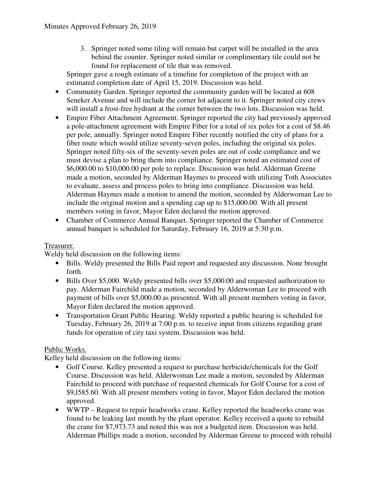3. Springer noted some tiling will remain but carpet will be installed in the area behind the counter. Springer noted similar or complimentary tile could not be found for replacement of tile that was removed.

Springer gave a rough estimate of a timeline for completion of the project with an estimated completion date of April 15, 2019. Discussion was held.

- Community Garden. Springer reported the community garden will be located at 608 Seneker Avenue and will include the corner lot adjacent to it. Springer noted city crews will install a frost-free hydrant at the corner between the two lots. Discussion was held.
- Empire Fiber Attachment Agreement. Springer reported the city had previously approved a pole-attachment agreement with Empire Fiber for a total of six poles for a cost of \$8.46 per pole, annually. Springer noted Empire Fiber recently notified the city of plans for a fiber route which would utilize seventy-seven poles, including the original six poles. Springer noted fifty-six of the seventy-seven poles are out of code compliance and we must devise a plan to bring them into compliance. Springer noted an estimated cost of \$6,000.00 to \$10,000.00 per pole to replace. Discussion was held. Alderman Greene made a motion, seconded by Alderman Haymes to proceed with utilizing Toth Associates to evaluate, assess and process poles to bring into compliance. Discussion was held. Alderman Haymes made a motion to amend the motion, seconded by Alderwoman Lee to include the original motion and a spending cap up to \$15,000.00. With all present members voting in favor, Mayor Eden declared the motion approved.
- Chamber of Commerce Annual Banquet. Springer reported the Chamber of Commerce annual banquet is scheduled for Saturday, February 16, 2019 at 5:30 p.m.

# Treasurer.

Weldy held discussion on the following items:

- Bills. Weldy presented the Bills Paid report and requested any discussion. None brought forth.
- Bills Over \$5,000. Weldy presented bills over \$5,000.00 and requested authorization to pay. Alderman Fairchild made a motion, seconded by Alderwoman Lee to proceed with payment of bills over \$5,000.00 as presented. With all present members voting in favor, Mayor Eden declared the motion approved.
- Transportation Grant Public Hearing. Weldy reported a public hearing is scheduled for Tuesday, February 26, 2019 at 7:00 p.m. to receive input from citizens regarding grant funds for operation of city taxi system. Discussion was held.

# Public Works.

Kelley held discussion on the following items:

- Golf Course. Kelley presented a request to purchase herbicide/chemicals for the Golf Course. Discussion was held. Alderwoman Lee made a motion, seconded by Alderman Fairchild to proceed with purchase of requested chemicals for Golf Course for a cost of \$9,l585.60. With all present members voting in favor, Mayor Eden declared the motion approved.
- WWTP Request to repair headworks crane. Kelley reported the headworks crane was found to be leaking last month by the plant operator. Kelley received a quote to rebuild the crane for \$7,973.73 and noted this was not a budgeted item. Discussion was held. Alderman Phillips made a motion, seconded by Alderman Greene to proceed with rebuild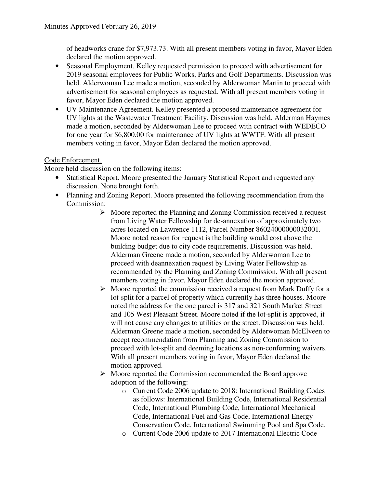of headworks crane for \$7,973.73. With all present members voting in favor, Mayor Eden declared the motion approved.

- Seasonal Employment. Kelley requested permission to proceed with advertisement for 2019 seasonal employees for Public Works, Parks and Golf Departments. Discussion was held. Alderwoman Lee made a motion, seconded by Alderwoman Martin to proceed with advertisement for seasonal employees as requested. With all present members voting in favor, Mayor Eden declared the motion approved.
- UV Maintenance Agreement. Kelley presented a proposed maintenance agreement for UV lights at the Wastewater Treatment Facility. Discussion was held. Alderman Haymes made a motion, seconded by Alderwoman Lee to proceed with contract with WEDECO for one year for \$6,800.00 for maintenance of UV lights at WWTF. With all present members voting in favor, Mayor Eden declared the motion approved.

## Code Enforcement.

Moore held discussion on the following items:

- Statistical Report. Moore presented the January Statistical Report and requested any discussion. None brought forth.
- Planning and Zoning Report. Moore presented the following recommendation from the Commission:
	- $\triangleright$  Moore reported the Planning and Zoning Commission received a request from Living Water Fellowship for de-annexation of approximately two acres located on Lawrence 1112, Parcel Number 86024000000032001. Moore noted reason for request is the building would cost above the building budget due to city code requirements. Discussion was held. Alderman Greene made a motion, seconded by Alderwoman Lee to proceed with deannexation request by Living Water Fellowship as recommended by the Planning and Zoning Commission. With all present members voting in favor, Mayor Eden declared the motion approved.
	- $\triangleright$  Moore reported the commission received a request from Mark Duffy for a lot-split for a parcel of property which currently has three houses. Moore noted the address for the one parcel is 317 and 321 South Market Street and 105 West Pleasant Street. Moore noted if the lot-split is approved, it will not cause any changes to utilities or the street. Discussion was held. Alderman Greene made a motion, seconded by Alderwoman McElveen to accept recommendation from Planning and Zoning Commission to proceed with lot-split and deeming locations as non-conforming waivers. With all present members voting in favor, Mayor Eden declared the motion approved.
	- $\triangleright$  Moore reported the Commission recommended the Board approve adoption of the following:
		- o Current Code 2006 update to 2018: International Building Codes as follows: International Building Code, International Residential Code, International Plumbing Code, International Mechanical Code, International Fuel and Gas Code, International Energy Conservation Code, International Swimming Pool and Spa Code.
		- o Current Code 2006 update to 2017 International Electric Code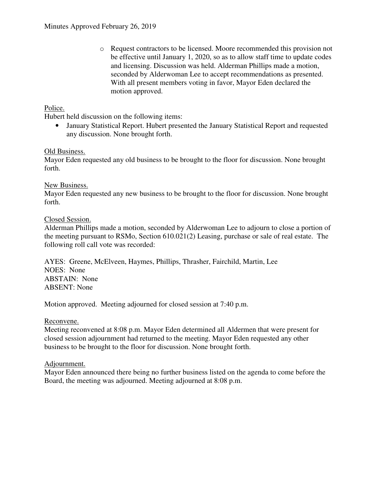o Request contractors to be licensed. Moore recommended this provision not be effective until January 1, 2020, so as to allow staff time to update codes and licensing. Discussion was held. Alderman Phillips made a motion, seconded by Alderwoman Lee to accept recommendations as presented. With all present members voting in favor, Mayor Eden declared the motion approved.

## Police.

Hubert held discussion on the following items:

• January Statistical Report. Hubert presented the January Statistical Report and requested any discussion. None brought forth.

### Old Business.

Mayor Eden requested any old business to be brought to the floor for discussion. None brought forth.

### New Business.

Mayor Eden requested any new business to be brought to the floor for discussion. None brought forth.

### Closed Session.

Alderman Phillips made a motion, seconded by Alderwoman Lee to adjourn to close a portion of the meeting pursuant to RSMo, Section 610.021(2) Leasing, purchase or sale of real estate. The following roll call vote was recorded:

AYES: Greene, McElveen, Haymes, Phillips, Thrasher, Fairchild, Martin, Lee NOES: None ABSTAIN: None ABSENT: None

Motion approved. Meeting adjourned for closed session at 7:40 p.m.

### Reconvene.

Meeting reconvened at 8:08 p.m. Mayor Eden determined all Aldermen that were present for closed session adjournment had returned to the meeting. Mayor Eden requested any other business to be brought to the floor for discussion. None brought forth.

### Adjournment.

Mayor Eden announced there being no further business listed on the agenda to come before the Board, the meeting was adjourned. Meeting adjourned at 8:08 p.m.